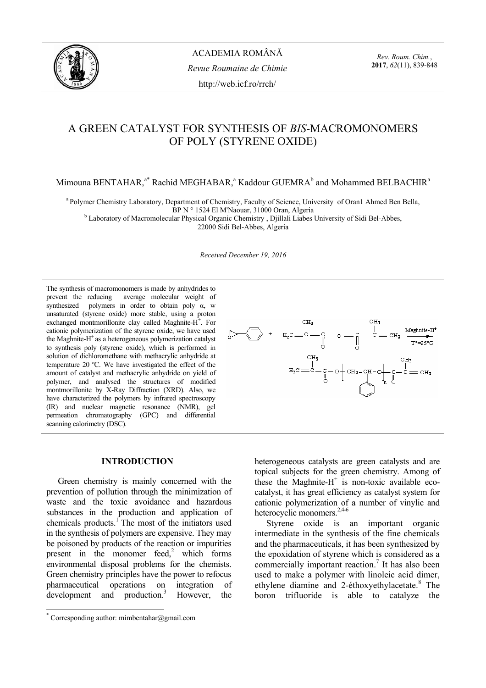

*Rev. Roum. Chim.*, **2017**, *62*(11), 839-848

# A GREEN CATALYST FOR SYNTHESIS OF *BIS*-MACROMONOMERS OF POLY (STYRENE OXIDE)

Mimouna BENTAHAR,<sup>a\*</sup> Rachid MEGHABAR,<sup>a</sup> Kaddour GUEMRA<sup>b</sup> and Mohammed BELBACHIR<sup>a</sup>

a Polymer Chemistry Laboratory, Department of Chemistry, Faculty of Science, University of Oran1 Ahmed Ben Bella,<br>BP N ° 1524 El M'Naouar, 31000 Oran, Algeria

BP N ° 1524 El M'Naouar, 31000 Oran, Algeria<br><sup>b</sup> Laboratory of Macromolecular Physical Organic Chemistry , Djillali Liabes University of Sidi Bel-Abbes, 22000 Sidi Bel-Abbes, Algeria

*Received December 19, 2016* 

The synthesis of macromonomers is made by anhydrides to prevent the reducing average molecular weight of synthesized polymers in order to obtain poly  $\alpha$ , w unsaturated (styrene oxide) more stable, using a proton exchanged montmorillonite clay called Maghnite-H<sup>+</sup>. For cationic polymerization of the styrene oxide, we have used the Maghnite- $H^+$  as a heterogeneous polymerization catalyst to synthesis poly (styrene oxide), which is performed in solution of dichloromethane with methacrylic anhydride at temperature 20 ºC. We have investigated the effect of the amount of catalyst and methacrylic anhydride on yield of polymer, and analysed the structures of modified montmorillonite by X-Ray Diffraction (XRD). Also, we have characterized the polymers by infrared spectroscopy (IR) and nuclear magnetic resonance (NMR), gel permeation chromatography (GPC) and differential scanning calorimetry (DSC).

# **INTRODUCTION\***

Green chemistry is mainly concerned with the prevention of pollution through the minimization of waste and the toxic avoidance and hazardous substances in the production and application of chemicals products.<sup>1</sup> The most of the initiators used in the synthesis of polymers are expensive. They may be poisoned by products of the reaction or impurities present in the monomer  $\text{feed}^2$ , which forms environmental disposal problems for the chemists. Green chemistry principles have the power to refocus pharmaceutical operations on integration of development and production.<sup>3</sup> However, the



heterogeneous catalysts are green catalysts and are topical subjects for the green chemistry. Among of these the Maghnite- $H^+$  is non-toxic available ecocatalyst, it has great efficiency as catalyst system for cationic polymerization of a number of vinylic and heterocyclic monomers.2,4-6

Styrene oxide is an important organic intermediate in the synthesis of the fine chemicals and the pharmaceuticals, it has been synthesized by the epoxidation of styrene which is considered as a commercially important reaction.<sup>7</sup> It has also been used to make a polymer with linoleic acid dimer, ethylene diamine and 2-éthoxyethylacetate.<sup>8</sup> The boron trifluoride is able to catalyze the

 \* Corresponding author: mimbentahar@gmail.com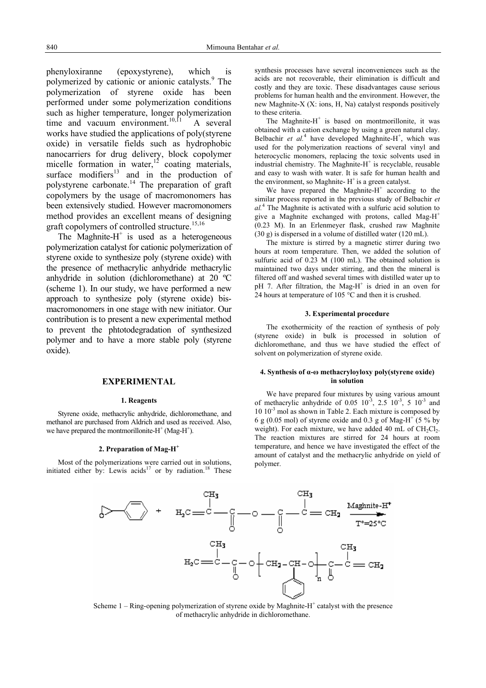phenyloxiranne (epoxystyrene), which is polymerized by cationic or anionic catalysts.<sup>9</sup> The polymerization of styrene oxide has been performed under some polymerization conditions such as higher temperature, longer polymerization time and vacuum environment.<sup>10,f1</sup> A several works have studied the applications of poly(styrene oxide) in versatile fields such as hydrophobic nanocarriers for drug delivery, block copolymer micelle formation in water, $12$  coating materials, surface modifiers $13$  and in the production of polystyrene carbonate.<sup>14</sup> The preparation of graft copolymers by the usage of macromonomers has been extensively studied. However macromonomers method provides an excellent means of designing graft copolymers of controlled structure.<sup>15,16</sup>

The Maghnite- $H^+$  is used as a heterogeneous polymerization catalyst for cationic polymerization of styrene oxide to synthesize poly (styrene oxide) with the presence of methacrylic anhydride methacrylic anhydride in solution (dichloromethane) at 20 ºC (scheme 1). In our study, we have performed a new approach to synthesize poly (styrene oxide) bismacromonomers in one stage with new initiator. Our contribution is to present a new experimental method to prevent the phtotodegradation of synthesized polymer and to have a more stable poly (styrene oxide).

# **EXPERIMENTAL**

#### **1. Reagents**

Styrene oxide, methacrylic anhydride, dichloromethane, and methanol are purchased from Aldrich and used as received. Also, we have prepared the montmorillonite- $H^+$  (Mag- $H^+$ ).

#### **2. Preparation of Mag-H<sup>+</sup>**

Most of the polymerizations were carried out in solutions, initiated either by: Lewis acids<sup>17</sup> or by radiation.<sup>18</sup> These synthesis processes have several inconveniences such as the acids are not recoverable, their elimination is difficult and costly and they are toxic. These disadvantages cause serious problems for human health and the environment. However, the new Maghnite-X (X: ions, H, Na) catalyst responds positively to these criteria.

The Maghnite- $H^+$  is based on montmorillonite, it was obtained with a cation exchange by using a green natural clay. Belbachir et al.<sup>4</sup> have developed Maghnite-H<sup>+</sup>, which was used for the polymerization reactions of several vinyl and heterocyclic monomers, replacing the toxic solvents used in industrial chemistry. The Maghnite- $H^+$  is recyclable, reusable and easy to wash with water. It is safe for human health and the environment, so Maghnite- $H^+$  is a green catalyst.

We have prepared the Maghnite- $H^+$  according to the similar process reported in the previous study of Belbachir *et al.*<sup>4</sup> The Maghnite is activated with a sulfuric acid solution to give a Maghnite exchanged with protons, called Mag-H<sup>+</sup> (0.23 M). In an Erlenmeyer flask, crushed raw Maghnite (30 g) is dispersed in a volume of distilled water (120 mL).

The mixture is stirred by a magnetic stirrer during two hours at room temperature. Then, we added the solution of sulfuric acid of 0.23 M (100 mL). The obtained solution is maintained two days under stirring, and then the mineral is filtered off and washed several times with distilled water up to pH 7. After filtration, the Mag-H<sup>+</sup> is dried in an oven for 24 hours at temperature of 105 °C and then it is crushed.

#### **3. Experimental procedure**

The exothermicity of the reaction of synthesis of poly (styrene oxide) in bulk is processed in solution of dichloromethane, and thus we have studied the effect of solvent on polymerization of styrene oxide.

### **4. Synthesis of α-ω methacryloyloxy poly(styrene oxide) in solution**

We have prepared four mixtures by using various amount of methacrylic anhydride of 0.05  $10^{-3}$ ,  $2.5 \times 10^{-3}$ ,  $5 \times 10^{-3}$  and  $10\,10^{-3}$  mol as shown in Table 2. Each mixture is composed by 6 g (0.05 mol) of styrene oxide and 0.3 g of Mag-H<sup>+</sup> (5 % by weight). For each mixture, we have added 40 mL of  $CH_2Cl_2$ . The reaction mixtures are stirred for 24 hours at room temperature, and hence we have investigated the effect of the amount of catalyst and the methacrylic anhydride on yield of polymer.



Scheme  $1 -$  Ring-opening polymerization of styrene oxide by Maghnite- $H^+$  catalyst with the presence of methacrylic anhydride in dichloromethane.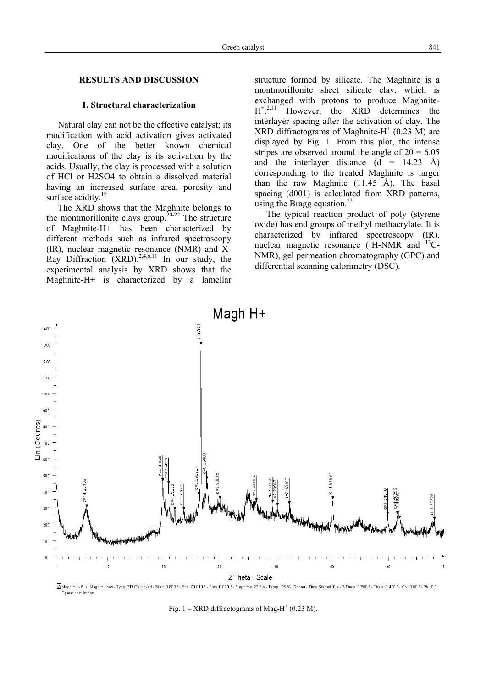## **RESULTS AND DISCUSSION**

## **1. Structural characterization**

Natural clay can not be the effective catalyst; its modification with acid activation gives activated clay. One of the better known chemical modifications of the clay is its activation by the acids. Usually, the clay is processed with a solution of HCl or H2SO4 to obtain a dissolved material having an increased surface area, porosity and surface acidity.<sup>19</sup>

The XRD shows that the Maghnite belongs to the montmorillonite clays group.<sup>20-22</sup> The structure of Maghnite-H+ has been characterized by different methods such as infrared spectroscopy (IR), nuclear magnetic resonance (NMR) and X-Ray Diffraction  $(XRD)$ <sup>2,4,6,11</sup> In our study, the experimental analysis by XRD shows that the Maghnite-H+ is characterized by a lamellar structure formed by silicate. The Maghnite is a montmorillonite sheet silicate clay, which is exchanged with protons to produce Maghnite-H+ . 2,11 However, the XRD determines the interlayer spacing after the activation of clay. The XRD diffractograms of Maghnite-H $^+$  (0.23 M) are displayed by Fig. 1. From this plot, the intense stripes are observed around the angle of  $2\theta = 6.05$ and the interlayer distance  $(d = 14.23 \text{ Å})$ corresponding to the treated Maghnite is larger than the raw Maghnite  $(11.45 \text{ Å})$ . The basal spacing (d001) is calculated from XRD patterns, using the Bragg equation. $^{23}$ 

The typical reaction product of poly (styrene oxide) has end groups of methyl methacrylate. It is characterized by infrared spectroscopy (IR), nuclear magnetic resonance  $({}^{f}H\text{-NMR}$  and  ${}^{13}C\text{-}$ NMR), gel permeation chromatography (GPC) and differential scanning calorimetry (DSC).



MMagh H+-File: Magh H+.raw-Type: 2Th/Th locked - Start: 0.800 ° - End: 70.010 ° - Step: 0.020 ° - Step time: 23.3 s - Temp: 25 °C (Room) - Time Started: 0 s - 2-Theta: 0.800 ° - Theta: 0.400 ° - Chi: 0.00 ° - Phi: 0.0 Operations: Import

Fig.  $1 - \text{XRD}$  diffractograms of Mag-H<sup>+</sup> (0.23 M).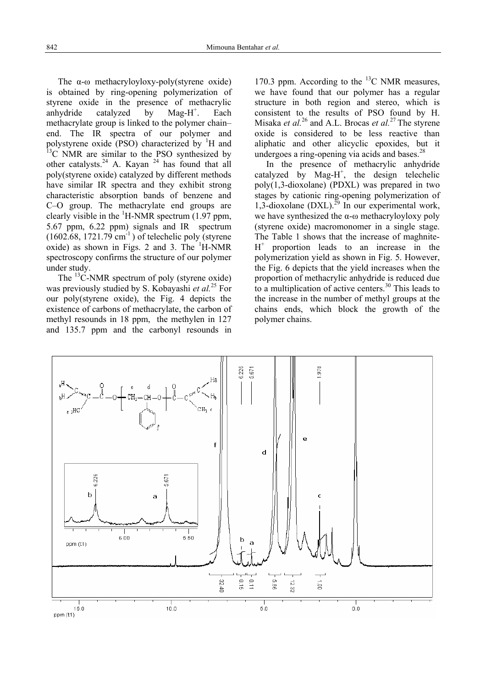The α-ω methacryloyloxy-poly(styrene oxide) is obtained by ring-opening polymerization of styrene oxide in the presence of methacrylic anhydride catalyzed by  $\text{Mag-H}^+$ . . Each methacrylate group is linked to the polymer chain– end. The IR spectra of our polymer and polystyrene oxide (PSO) characterized by  ${}^{1}H$  and  $13^{\circ}$ C NMR are similar to the PSO synthesized by other catalysts.<sup>24</sup> A. Kayan <sup>24</sup> has found that all poly(styrene oxide) catalyzed by different methods have similar IR spectra and they exhibit strong characteristic absorption bands of benzene and C–O group. The methacrylate end groups are clearly visible in the  ${}^{1}$ H-NMR spectrum (1.97 ppm, 5.67 ppm, 6.22 ppm) signals and IR spectrum  $(1602.68, 1721.79$  cm<sup>-1</sup>) of telechelic poly (styrene oxide) as shown in Figs. 2 and 3. The  $H-MMR$ spectroscopy confirms the structure of our polymer under study.

The <sup>13</sup>C-NMR spectrum of poly (styrene oxide) was previously studied by S. Kobayashi *et al.*25 For our poly(styrene oxide), the Fig. 4 depicts the existence of carbons of methacrylate, the carbon of methyl resounds in 18 ppm, the methylen in 127 and 135.7 ppm and the carbonyl resounds in

170.3 ppm. According to the  $^{13}$ C NMR measures, we have found that our polymer has a regular structure in both region and stereo, which is consistent to the results of PSO found by H. Misaka *et al.*<sup>26</sup> and A.L. Brocas *et al.*<sup>27</sup> The styrene oxide is considered to be less reactive than aliphatic and other alicyclic epoxides, but it undergoes a ring-opening via acids and bases. $^{28}$ 

In the presence of methacrylic anhydride catalyzed by  $Mag-H^+$ , the design telechelic poly(1,3-dioxolane) (PDXL) was prepared in two stages by cationic ring-opening polymerization of 1,3-dioxolane (DXL).<sup>29</sup> In our experimental work, we have synthesized the  $\alpha$ - $\omega$  methacryloyloxy poly (styrene oxide) macromonomer in a single stage. The Table 1 shows that the increase of maghnite- $H^+$  proportion leads to an increase in the polymerization yield as shown in Fig. 5. However, the Fig. 6 depicts that the yield increases when the proportion of methacrylic anhydride is reduced due to a multiplication of active centers.<sup>30</sup> This leads to the increase in the number of methyl groups at the chains ends, which block the growth of the polymer chains.

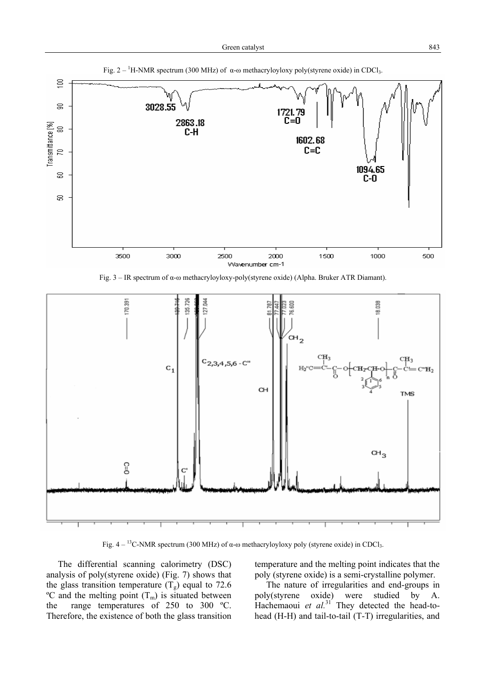

Fig. 3 – IR spectrum of α-ω methacryloyloxy-poly(styrene oxide) (Alpha. Bruker ATR Diamant).



Fig.  $4 - {}^{13}C$ -NMR spectrum (300 MHz) of α-ω methacryloyloxy poly (styrene oxide) in CDCl<sub>3</sub>.

The differential scanning calorimetry (DSC) analysis of poly(styrene oxide) (Fig. 7) shows that the glass transition temperature  $(T_{g})$  equal to 72.6  $\rm{^{\circ}C}$  and the melting point  $(T_{\rm{m}})$  is situated between the range temperatures of 250 to 300 ºC. Therefore, the existence of both the glass transition temperature and the melting point indicates that the poly (styrene oxide) is a semi-crystalline polymer.

The nature of irregularities and end-groups in poly(styrene oxide) were studied by A. Hachemaoui *et al.*<sup>31</sup> They detected the head-tohead (H-H) and tail-to-tail (T-T) irregularities, and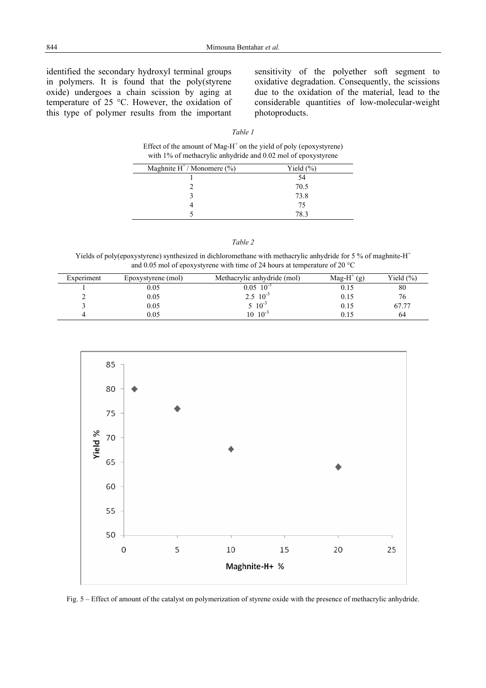identified the secondary hydroxyl terminal groups in polymers. It is found that the poly(styrene oxide) undergoes a chain scission by aging at temperature of 25 °C. However, the oxidation of this type of polymer results from the important

sensitivity of the polyether soft segment to oxidative degradation. Consequently, the scissions due to the oxidation of the material, lead to the considerable quantities of low-molecular-weight photoproducts.

# *Table 1*

Effect of the amount of Mag- $H^+$  on the yield of poly (epoxystyrene) with 1% of methacrylic anhydride and 0.02 mol of epoxystyrene

| Maghnite $H^+/M$ onomere (%) | Yield $(\% )$ |
|------------------------------|---------------|
|                              | 54            |
|                              | 70.5          |
|                              | 73.8          |
|                              | 75            |
|                              | 78 3          |

|--|--|

Yields of poly(epoxystyrene) synthesized in dichloromethane with methacrylic anhydride for 5 % of maghnite- $H^+$ and 0.05 mol of epoxystyrene with time of 24 hours at temperature of 20 °C

| Experiment | Epoxystyrene (mol) | Methacrylic anhydride (mol) | Mag-H <sup>+</sup> $(g)$ | Yield $(\% )$ |
|------------|--------------------|-----------------------------|--------------------------|---------------|
|            | 0.05               | $0.05 \; 10^{-3}$           | 0.15                     | 80            |
|            | 0.05               | $2.5 \t10^{-3}$             | 0.15                     | 76            |
|            | 0.05               | $, 10^{-3}$                 | 0.15                     | 67.77         |
|            | 0.05               | $10^{-3}$<br>$\overline{0}$ | 0.15                     | 64            |



Fig. 5 – Effect of amount of the catalyst on polymerization of styrene oxide with the presence of methacrylic anhydride.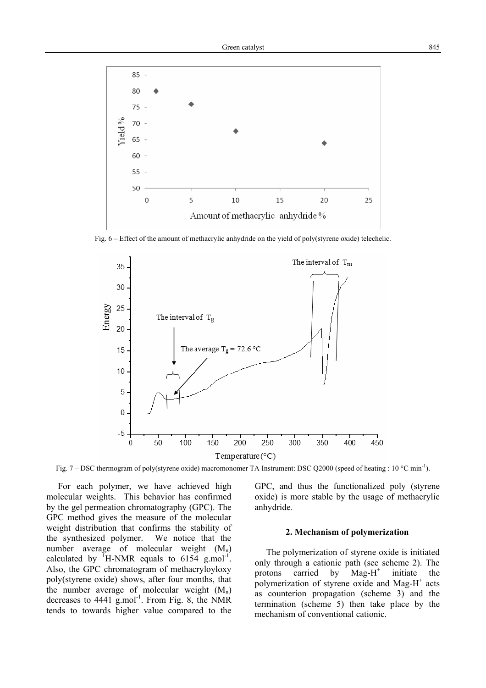

Fig. 6 – Effect of the amount of methacrylic anhydride on the yield of poly(styrene oxide) telechelic.



Fig. 7 – DSC thermogram of poly(styrene oxide) macromonomer TA Instrument: DSC Q2000 (speed of heating : 10 °C min-1).

For each polymer, we have achieved high molecular weights. This behavior has confirmed by the gel permeation chromatography (GPC). The GPC method gives the measure of the molecular weight distribution that confirms the stability of the synthesized polymer. We notice that the number average of molecular weight  $(M_n)$ calculated by  $H-MMR$  equals to 6154 g.mol<sup>-1</sup>. Also, the GPC chromatogram of methacryloyloxy poly(styrene oxide) shows, after four months, that the number average of molecular weight  $(M_n)$ decreases to  $4441 \text{ g.mol}^{-1}$ . From Fig. 8, the NMR tends to towards higher value compared to the

GPC, and thus the functionalized poly (styrene oxide) is more stable by the usage of methacrylic anhydride.

## **2. Mechanism of polymerization**

The polymerization of styrene oxide is initiated only through a cationic path (see scheme 2). The protons carried by  $\text{Mag-H}^+$  initiate the polymerization of styrene oxide and Mag- $H^+$  acts as counterion propagation (scheme 3) and the termination (scheme 5) then take place by the mechanism of conventional cationic.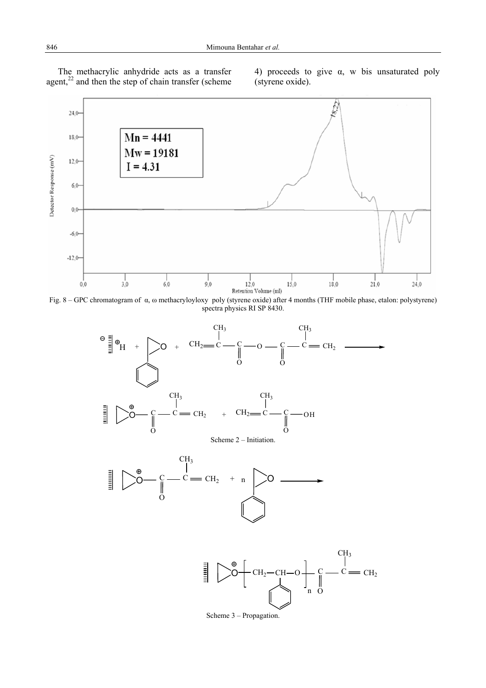The methacrylic anhydride acts as a transfer agent, $2<sup>22</sup>$  and then the step of chain transfer (scheme 4) proceeds to give  $\alpha$ , w bis unsaturated poly (styrene oxide).







Scheme 3 – Propagation.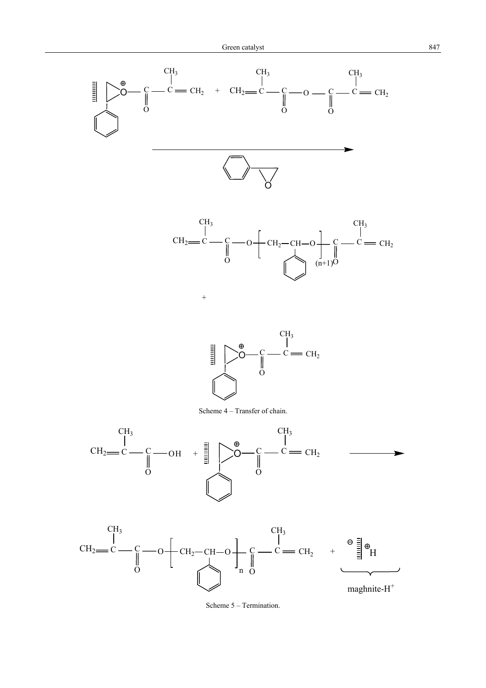



Scheme 5 – Termination.